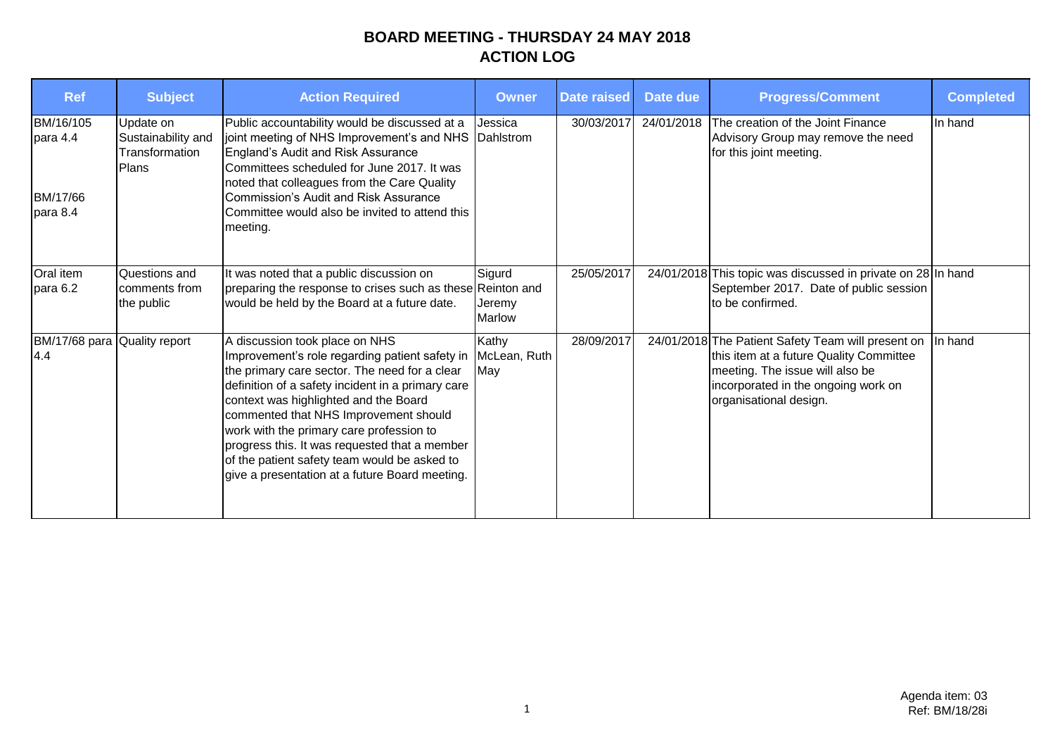## **BOARD MEETING - THURSDAY 24 MAY 2018 ACTION LOG**

| <b>Ref</b>                                    | <b>Subject</b>                                             | <b>Action Required</b>                                                                                                                                                                                                                                                                                                                                                                                                                                                  | <b>Owner</b>                      | <b>Date raised</b> | Date due   | <b>Progress/Comment</b>                                                                                                                                                                           | <b>Completed</b> |
|-----------------------------------------------|------------------------------------------------------------|-------------------------------------------------------------------------------------------------------------------------------------------------------------------------------------------------------------------------------------------------------------------------------------------------------------------------------------------------------------------------------------------------------------------------------------------------------------------------|-----------------------------------|--------------------|------------|---------------------------------------------------------------------------------------------------------------------------------------------------------------------------------------------------|------------------|
| BM/16/105<br>para 4.4<br>BM/17/66<br>para 8.4 | Update on<br>Sustainability and<br>Transformation<br>Plans | Public accountability would be discussed at a<br>joint meeting of NHS Improvement's and NHS Dahlstrom<br>England's Audit and Risk Assurance<br>Committees scheduled for June 2017. It was<br>noted that colleagues from the Care Quality<br><b>Commission's Audit and Risk Assurance</b><br>Committee would also be invited to attend this<br>meeting.                                                                                                                  | Jessica                           | 30/03/2017         | 24/01/2018 | The creation of the Joint Finance<br>Advisory Group may remove the need<br>for this joint meeting.                                                                                                | In hand          |
| Oral item<br>para 6.2                         | Questions and<br>comments from<br>the public               | It was noted that a public discussion on<br>preparing the response to crises such as these Reinton and<br>would be held by the Board at a future date.                                                                                                                                                                                                                                                                                                                  | Sigurd<br>Jeremy<br><b>Marlow</b> | 25/05/2017         |            | 24/01/2018 This topic was discussed in private on 28 In hand<br>September 2017. Date of public session<br>to be confirmed.                                                                        |                  |
| BM/17/68 para Quality report<br>4.4           |                                                            | A discussion took place on NHS<br>Improvement's role regarding patient safety in<br>the primary care sector. The need for a clear<br>definition of a safety incident in a primary care<br>context was highlighted and the Board<br>commented that NHS Improvement should<br>work with the primary care profession to<br>progress this. It was requested that a member<br>of the patient safety team would be asked to<br>give a presentation at a future Board meeting. | Kathy<br>McLean, Ruth<br>May      | 28/09/2017         |            | 24/01/2018 The Patient Safety Team will present on<br>this item at a future Quality Committee<br>meeting. The issue will also be<br>incorporated in the ongoing work on<br>organisational design. | In hand          |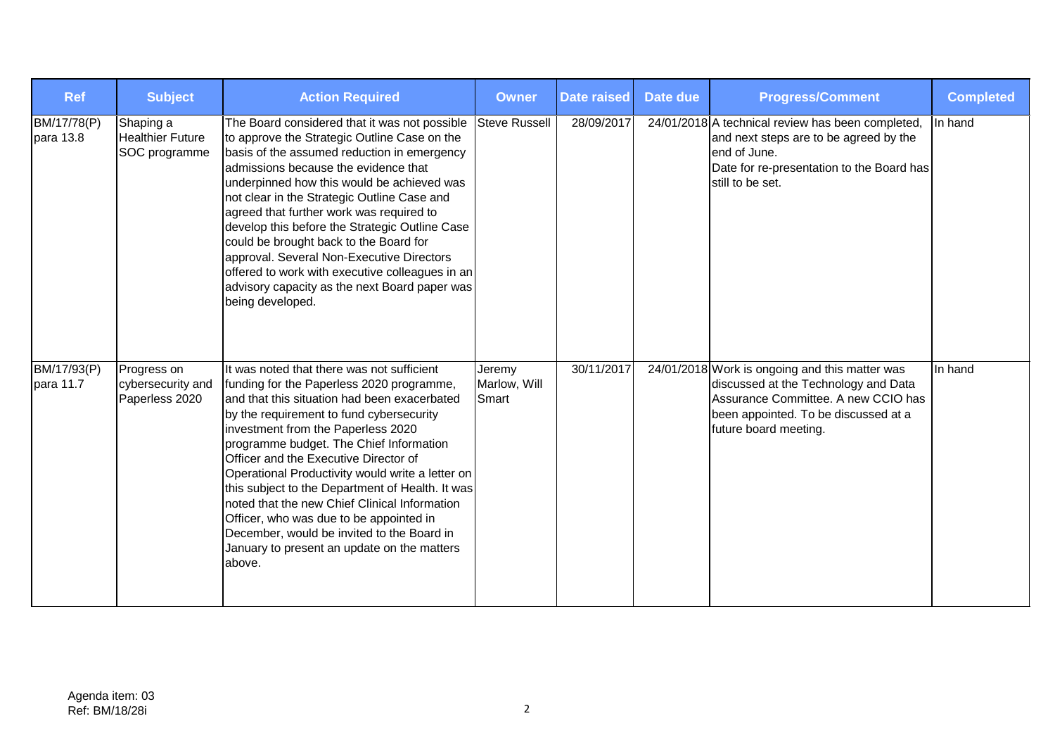| <b>Ref</b>               | <b>Subject</b>                                        | <b>Action Required</b>                                                                                                                                                                                                                                                                                                                                                                                                                                                                                                                                                                                                   | <b>Owner</b>                    | <b>Date raised</b> | Date due | <b>Progress/Comment</b>                                                                                                                                                                        | <b>Completed</b> |
|--------------------------|-------------------------------------------------------|--------------------------------------------------------------------------------------------------------------------------------------------------------------------------------------------------------------------------------------------------------------------------------------------------------------------------------------------------------------------------------------------------------------------------------------------------------------------------------------------------------------------------------------------------------------------------------------------------------------------------|---------------------------------|--------------------|----------|------------------------------------------------------------------------------------------------------------------------------------------------------------------------------------------------|------------------|
| BM/17/78(P)<br>para 13.8 | Shaping a<br><b>Healthier Future</b><br>SOC programme | The Board considered that it was not possible<br>to approve the Strategic Outline Case on the<br>basis of the assumed reduction in emergency<br>admissions because the evidence that<br>underpinned how this would be achieved was<br>not clear in the Strategic Outline Case and<br>agreed that further work was required to<br>develop this before the Strategic Outline Case<br>could be brought back to the Board for<br>approval. Several Non-Executive Directors<br>offered to work with executive colleagues in an<br>advisory capacity as the next Board paper was<br>being developed.                           | <b>Steve Russell</b>            | 28/09/2017         |          | 24/01/2018 A technical review has been completed,<br>and next steps are to be agreed by the<br>end of June.<br>Date for re-presentation to the Board has<br>still to be set.                   | In hand          |
| BM/17/93(P)<br>para 11.7 | Progress on<br>cybersecurity and<br>Paperless 2020    | It was noted that there was not sufficient<br>funding for the Paperless 2020 programme,<br>and that this situation had been exacerbated<br>by the requirement to fund cybersecurity<br>investment from the Paperless 2020<br>programme budget. The Chief Information<br>Officer and the Executive Director of<br>Operational Productivity would write a letter on<br>this subject to the Department of Health. It was<br>noted that the new Chief Clinical Information<br>Officer, who was due to be appointed in<br>December, would be invited to the Board in<br>January to present an update on the matters<br>above. | Jeremy<br>Marlow, Will<br>Smart | 30/11/2017         |          | 24/01/2018 Work is ongoing and this matter was<br>discussed at the Technology and Data<br>Assurance Committee, A new CCIO has<br>been appointed. To be discussed at a<br>future board meeting. | In hand          |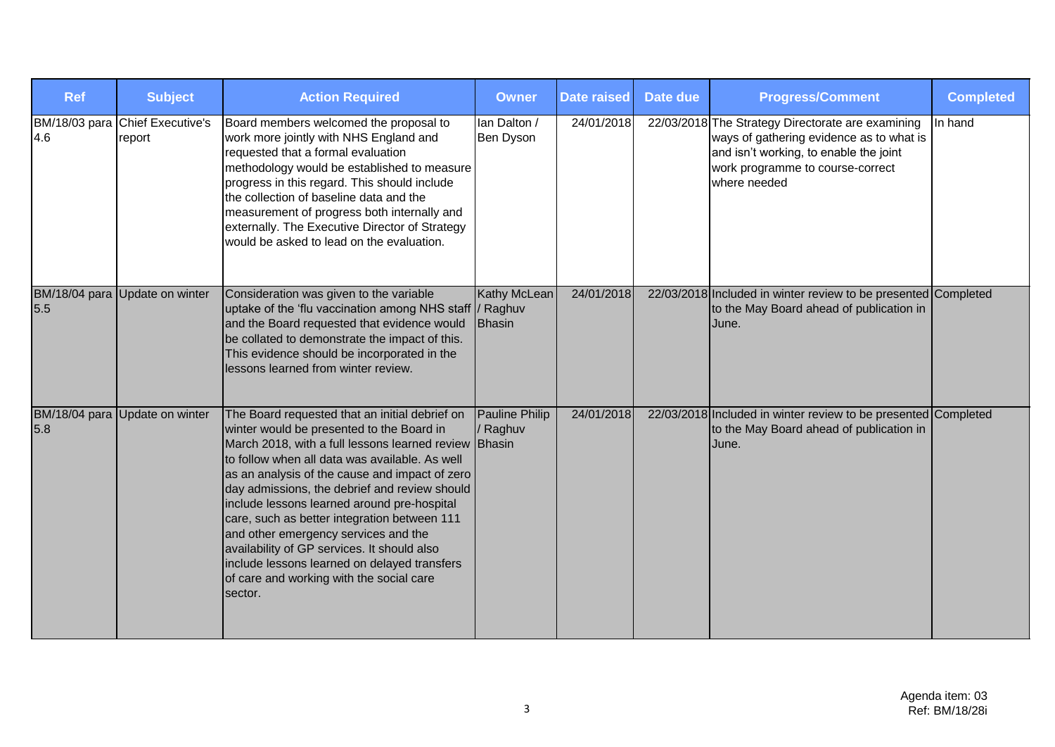| <b>Ref</b> | <b>Subject</b>                            | <b>Action Required</b>                                                                                                                                                                                                                                                                                                                                                                                                                                                                                                                                                                                 | <b>Owner</b>                  | <b>Date raised</b> | Date due | <b>Progress/Comment</b>                                                                                                                                                                     | <b>Completed</b> |
|------------|-------------------------------------------|--------------------------------------------------------------------------------------------------------------------------------------------------------------------------------------------------------------------------------------------------------------------------------------------------------------------------------------------------------------------------------------------------------------------------------------------------------------------------------------------------------------------------------------------------------------------------------------------------------|-------------------------------|--------------------|----------|---------------------------------------------------------------------------------------------------------------------------------------------------------------------------------------------|------------------|
| 4.6        | BM/18/03 para Chief Executive's<br>report | Board members welcomed the proposal to<br>work more jointly with NHS England and<br>requested that a formal evaluation<br>methodology would be established to measure<br>progress in this regard. This should include<br>the collection of baseline data and the<br>measurement of progress both internally and<br>externally. The Executive Director of Strategy<br>would be asked to lead on the evaluation.                                                                                                                                                                                         | lan Dalton /<br>Ben Dyson     | 24/01/2018         |          | 22/03/2018 The Strategy Directorate are examining<br>ways of gathering evidence as to what is<br>and isn't working, to enable the joint<br>work programme to course-correct<br>where needed | In hand          |
| 5.5        | BM/18/04 para Update on winter            | Consideration was given to the variable<br>uptake of the 'flu vaccination among NHS staff  / Raghuv<br>and the Board requested that evidence would<br>be collated to demonstrate the impact of this.<br>This evidence should be incorporated in the<br>lessons learned from winter review.                                                                                                                                                                                                                                                                                                             | Kathy McLean<br><b>Bhasin</b> | 24/01/2018         |          | 22/03/2018 Included in winter review to be presented Completed<br>to the May Board ahead of publication in<br>June.                                                                         |                  |
| 5.8        | BM/18/04 para Update on winter            | The Board requested that an initial debrief on<br>winter would be presented to the Board in<br>March 2018, with a full lessons learned review Bhasin<br>to follow when all data was available. As well<br>as an analysis of the cause and impact of zero<br>day admissions, the debrief and review should<br>include lessons learned around pre-hospital<br>care, such as better integration between 111<br>and other emergency services and the<br>availability of GP services. It should also<br>include lessons learned on delayed transfers<br>of care and working with the social care<br>sector. | Pauline Philip<br>/ Raghuv    | 24/01/2018         |          | 22/03/2018 Included in winter review to be presented Completed<br>to the May Board ahead of publication in<br>June.                                                                         |                  |